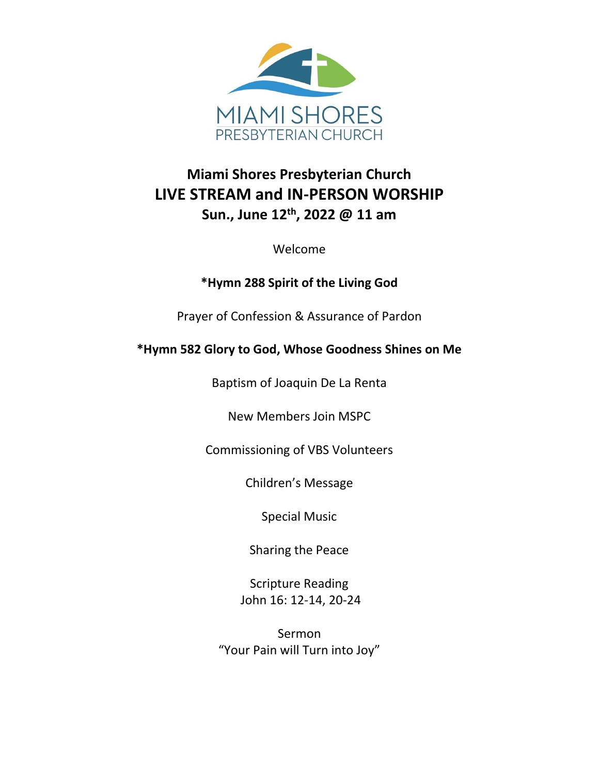

# **Miami Shores Presbyterian Church LIVE STREAM and IN-PERSON WORSHIP Sun., June 12th, 2022 @ 11 am**

Welcome

### **\*Hymn 288 Spirit of the Living God**

Prayer of Confession & Assurance of Pardon

## **\*Hymn 582 Glory to God, Whose Goodness Shines on Me**

Baptism of Joaquin De La Renta

New Members Join MSPC

Commissioning of VBS Volunteers

Children's Message

Special Music

Sharing the Peace

Scripture Reading John 16: 12-14, 20-24

Sermon "Your Pain will Turn into Joy"